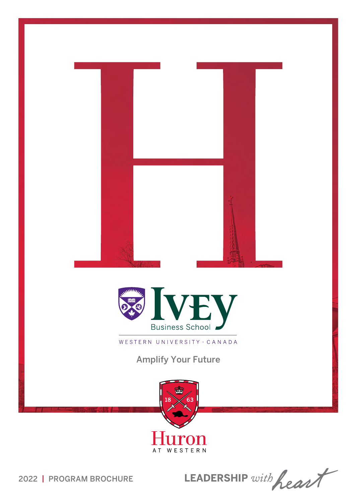

LEADERSHIP with heart

2022 | PROGRAM BROCHURE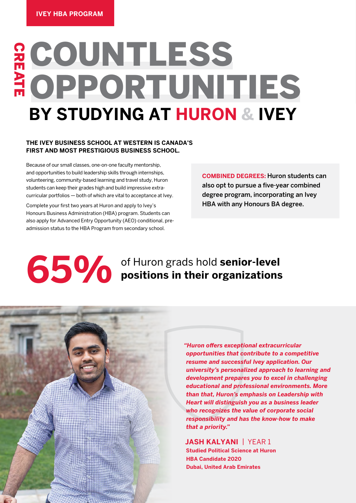# လ<br>၁ E COUNTLESS ATE OPPORTUNITIES **BY STUDYING AT HURON & IVEY**

### **THE IVEY BUSINESS SCHOOL AT WESTERN IS CANADA'S FIRST AND MOST PRESTIGIOUS BUSINESS SCHOOL.**

Because of our small classes, one-on-one faculty mentorship, and opportunities to build leadership skills through internships, volunteering, community-based learning and travel study, Huron students can keep their grades high and build impressive extracurricular portfolios — both of which are vital to acceptance at Ivey.

Complete your first two years at Huron and apply to Ivey's Honours Business Administration (HBA) program. Students can also apply for Advanced Entry Opportunity (AEO) conditional, preadmission status to the HBA Program from secondary school.

**COMBINED DEGREES:** Huron students can also opt to pursue a five-year combined degree program, incorporating an Ivey HBA with any Honours BA degree.

# **65% of Huron grads hold senior-level contains in their organizations positions in their organizations**



*"Huron offers exceptional extracurricular opportunities that contribute to a competitive resume and successful Ivey application. Our university's personalized approach to learning and development prepares you to excel in challenging educational and professional environments. More than that, Huron's emphasis on Leadership with Heart will distinguish you as a business leader who recognizes the value of corporate social responsibility and has the know-how to make that a priority."*

### **JASH KALYANI** | YEAR 1

**Studied Political Science at Huron HBA Candidate 2020 Dubai, United Arab Emirates**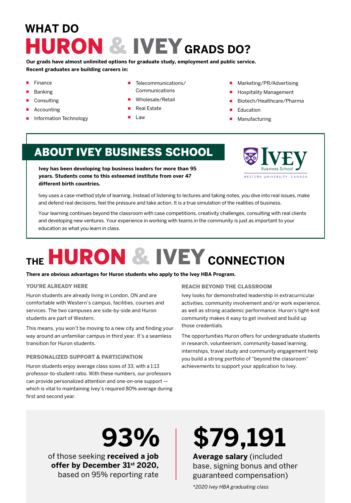# **WHAT DO** HURON & IVEY **GRADS DO?**

**Our grads have almost unlimited options for graduate study, employment and public service. Recent graduates are building careers in:**

- Finance
- Banking
- **Consulting**
- Accounting
- Information Technology
- Telecommunications/ Communications
- Wholesale/Retail
- Real Estate
- **Law**
- Marketing/PR/Advertising
- **Hospitality Management**
- Biotech/Healthcare/Pharma
- Education
- **Manufacturing**

## ABOUT IVEY BUSINESS SCHOOL

**Ivey has been developing top business leaders for more than 95 years. Students come to this esteemed institute from over 47 different birth countries.**



Ivey uses a case-method style of learning. Instead of listening to lectures and taking notes, you dive into real issues, make and defend real decisions, feel the pressure and take action. It is a true simulation of the realities of business.

Your learning continues beyond the classroom with case competitions, creativity challenges, consulting with real clients and developing new ventures. Your experience in working with teams in the community is just as important to your education as what you learn in class.

# **THE**  HURON & IVEY **CONNECTION**

#### **There are obvious advantages for Huron students who apply to the Ivey HBA Program.**

#### YOU'RE ALREADY HERE

Huron students are already living in London, ON and are comfortable with Western's campus, facilities, courses and services. The two campuses are side-by-side and Huron students are part of Western.

This means, you won't be moving to a new city and finding your way around an unfamiliar campus in third year. It's a seamless transition for Huron students.

#### PERSONALIZED SUPPORT & PARTICIPATION

Huron students enjoy average class sizes of 33, with a 1:13 professor-to-student ratio. With these numbers, our professors can provide personalized attention and one-on-one support which is vital to maintaining Ivey's required 80% average during first and second year.

#### REACH BEYOND THE CLASSROOM

Ivey looks for demonstrated leadership in extracurricular activities, community involvement and/or work experience, as well as strong academic performance. Huron's tight-knit community makes it easy to get involved and build up those credentials.

The opportunities Huron offers for undergraduate students in research, volunteerism, community-based learning, internships, travel study and community engagement help you build a strong portfolio of "beyond the classroom" achievements to support your application to Ivey.

of those seeking **received a job offer by December 31st 2020,**  based on 95% reporting rate

# **93% \$79,191**

**Average salary** (included base, signing bonus and other guaranteed compensation)

*\*2020 Ivey HBA graduating class*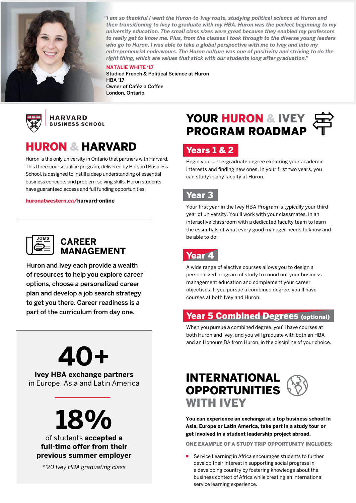

*"I am so thankful I went the Huron-to-Ivey route, studying political science at Huron and then transitioning to Ivey to graduate with my HBA. Huron was the perfect beginning to my university education. The small class sizes were great because they enabled my professors to really get to know me. Plus, from the classes I took through to the diverse young leaders who go to Huron, I was able to take a global perspective with me to Ivey and into my entrepreneurial endeavours. The Huron culture was one of positivity and striving to do the right thing, which are values that stick with our students long after graduation."*

**NATALIE WHITE '17** Studied French & Political Science at Huron HBA '17 Owner of Cafézia Coffee London, Ontario



**HARVARD BUSINESS SCHOOL** 

## HURON & HARVARD

Huron is the only university in Ontario that partners with Harvard. This three-course online program, delivered by Harvard Business School, is designed to instill a deep understanding of essential business concepts and problem-solving skills. Huron students have guaranteed access and full funding opportunities.

**[huronatwestern.ca/harvard-online](http://huronatwestern.ca/harvard-online)**

| OBS |
|-----|
|     |
|     |
|     |

### **CAREER MANAGEMENT**

Huron and Ivey each provide a wealth of resources to help you explore career options, choose a personalized career plan and develop a job search strategy to get you there. Career readiness is a part of the curriculum from day one.

# **40+**

**Ivey HBA exchange partners** in Europe, Asia and Latin America



### of students **accepted a full-time offer from their previous summer employer**

*\*'20 Ivey HBA graduating class*

## YOUR HURON & IVEY PROGRAM ROADMAP

## Years 1 & 2

Begin your undergraduate degree exploring your academic interests and finding new ones. In your first two years, you can study in any faculty at Huron.

### Year 3

Your first year in the Ivey HBA Program is typically your third year of university. You'll work with your classmates, in an interactive classroom with a dedicated faculty team to learn the essentials of what every good manager needs to know and be able to do.



A wide range of elective courses allows you to design a personalized program of study to round out your business management education and complement your career objectives. If you pursue a combined degree, you'll have courses at both Ivey and Huron.

## **Year 5 Combined Degrees (optional)**

When you pursue a combined degree, you'll have courses at both Huron and Ivey, and you will graduate with both an HBA and an Honours BA from Huron, in the discipline of your choice.

## INTERNATIONAL OPPORTUNITIES WITH IVEY

**You can experience an exchange at a top business school in Asia, Europe or Latin America, take part in a study tour or get involved in a student leadership project abroad.**

ONE EXAMPLE OF A STUDY TRIP OPPORTUNITY INCLUDES:

Service Learning in Africa encourages students to further develop their interest in supporting social progress in a developing country by fostering knowledge about the business context of Africa while creating an international service learning experience.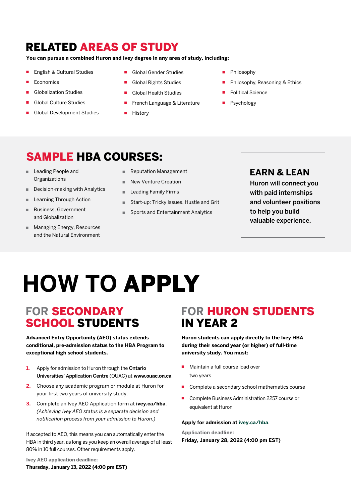## RELATED AREAS OF STUDY

**You can pursue a combined Huron and Ivey degree in any area of study, including:** 

- English & Cultural Studies
- Economics
- Globalization Studies
- **Global Culture Studies**
- Global Development Studies
- Global Gender Studies
- Global Rights Studies
- **Global Health Studies**
- French Language & Literature
- **History**
- **Philosophy**
- Philosophy, Reasoning & Ethics
- Political Science
- Psychology

## SAMPLE HBA COURSES:

- Leading People and **Organizations**
- Decision-making with Analytics
- Learning Through Action
- Business, Government and Globalization
- Managing Energy, Resources and the Natural Environment
- Reputation Management
- New Venture Creation
- Leading Family Firms
- Start-up: Tricky Issues, Hustle and Grit
- Sports and Entertainment Analytics

## **EARN & LEAN**

Huron will connect you with paid internships and volunteer positions to help you build valuable experience.

# **HOW TO** APPLY

## **FOR** SECONDARY SCHOOL STUDENTS

**Advanced Entry Opportunity (AEO) status extends conditional, pre-admission status to the HBA Program to exceptional high school students.**

- **1.** Apply for admission to Huron through the Ontario Universities' Application Centre (OUAC) at **www.ouac.on.ca**.
- **2.** Choose any academic program or module at Huron for your first two years of university study.
- **3.** Complete an Ivey AEO Application form at **ivey.ca/hba**. *(Achieving Ivey AEO status is a separate decision and notification process from your admission to Huron.)*

If accepted to AEO, this means you can automatically enter the HBA in third year, as long as you keep an overall average of at least 80% in 10 full courses. Other requirements apply.

#### **Ivey AEO application deadline: Thursday, January 13, 2022 (4:00 pm EST)**

## **FOR** HURON STUDENTS IN YEAR 2

**Huron students can apply directly to the Ivey HBA during their second year (or higher) of full-time university study. You must:**

- Maintain a full course load over two years
- Complete a secondary school mathematics course
- Complete Business Administration 2257 course or equivalent at Huron

#### **Apply for admission at [ivey.ca/hba](http://ivey.ca/hba)**.

**Application deadline: Friday, January 28, 2022 (4:00 pm EST)**